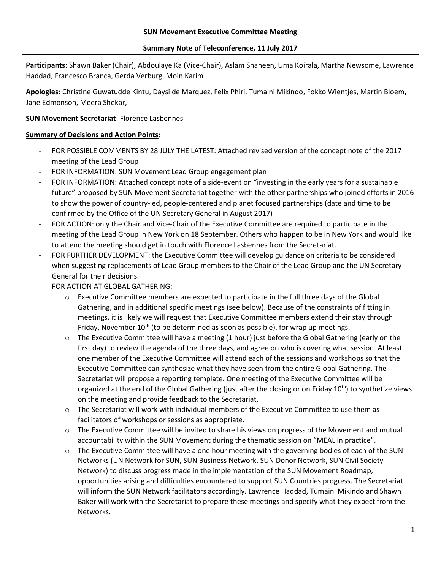### **SUN Movement Executive Committee Meeting**

#### **Summary Note of Teleconference, 11 July 2017**

**Participants**: Shawn Baker (Chair), Abdoulaye Ka (Vice-Chair), Aslam Shaheen, Uma Koirala, Martha Newsome, Lawrence Haddad, Francesco Branca, Gerda Verburg, Moin Karim

**Apologies**: Christine Guwatudde Kintu, Daysi de Marquez, Felix Phiri, Tumaini Mikindo, Fokko Wientjes, Martin Bloem, Jane Edmonson, Meera Shekar,

## **SUN Movement Secretariat**: Florence Lasbennes

### **Summary of Decisions and Action Points**:

- FOR POSSIBLE COMMENTS BY 28 JULY THE LATEST: Attached revised version of the concept note of the 2017 meeting of the Lead Group
- FOR INFORMATION: SUN Movement Lead Group engagement plan
- FOR INFORMATION: Attached concept note of a side-event on "investing in the early years for a sustainable future" proposed by SUN Movement Secretariat together with the other partnerships who joined efforts in 2016 to show the power of country-led, people-centered and planet focused partnerships (date and time to be confirmed by the Office of the UN Secretary General in August 2017)
- FOR ACTION: only the Chair and Vice-Chair of the Executive Committee are required to participate in the meeting of the Lead Group in New York on 18 September. Others who happen to be in New York and would like to attend the meeting should get in touch with Florence Lasbennes from the Secretariat.
- FOR FURTHER DEVELOPMENT: the Executive Committee will develop guidance on criteria to be considered when suggesting replacements of Lead Group members to the Chair of the Lead Group and the UN Secretary General for their decisions.
- FOR ACTION AT GLOBAL GATHERING:
	- $\circ$  Executive Committee members are expected to participate in the full three days of the Global Gathering, and in additional specific meetings (see below). Because of the constraints of fitting in meetings, it is likely we will request that Executive Committee members extend their stay through Friday, November  $10<sup>th</sup>$  (to be determined as soon as possible), for wrap up meetings.
	- $\circ$  The Executive Committee will have a meeting (1 hour) just before the Global Gathering (early on the first day) to review the agenda of the three days, and agree on who is covering what session. At least one member of the Executive Committee will attend each of the sessions and workshops so that the Executive Committee can synthesize what they have seen from the entire Global Gathering. The Secretariat will propose a reporting template. One meeting of the Executive Committee will be organized at the end of the Global Gathering (just after the closing or on Friday 10<sup>th</sup>) to synthetize views on the meeting and provide feedback to the Secretariat.
	- $\circ$  The Secretariat will work with individual members of the Executive Committee to use them as facilitators of workshops or sessions as appropriate.
	- o The Executive Committee will be invited to share his views on progress of the Movement and mutual accountability within the SUN Movement during the thematic session on "MEAL in practice".
	- o The Executive Committee will have a one hour meeting with the governing bodies of each of the SUN Networks (UN Network for SUN, SUN Business Network, SUN Donor Network, SUN Civil Society Network) to discuss progress made in the implementation of the SUN Movement Roadmap, opportunities arising and difficulties encountered to support SUN Countries progress. The Secretariat will inform the SUN Network facilitators accordingly. Lawrence Haddad, Tumaini Mikindo and Shawn Baker will work with the Secretariat to prepare these meetings and specify what they expect from the Networks.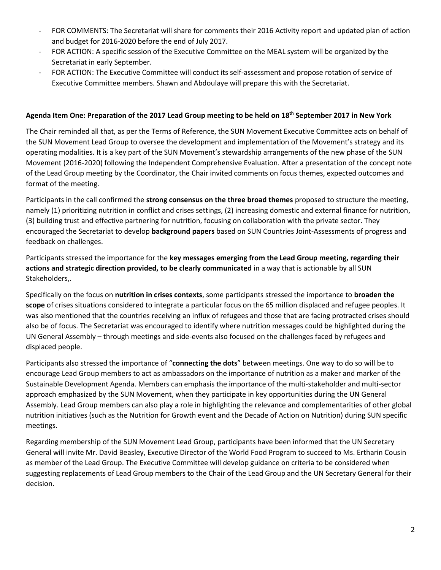- FOR COMMENTS: The Secretariat will share for comments their 2016 Activity report and updated plan of action and budget for 2016-2020 before the end of July 2017.
- FOR ACTION: A specific session of the Executive Committee on the MEAL system will be organized by the Secretariat in early September.
- FOR ACTION: The Executive Committee will conduct its self-assessment and propose rotation of service of Executive Committee members. Shawn and Abdoulaye will prepare this with the Secretariat.

## **Agenda Item One: Preparation of the 2017 Lead Group meeting to be held on 18th September 2017 in New York**

The Chair reminded all that, as per the Terms of Reference, the SUN Movement Executive Committee acts on behalf of the SUN Movement Lead Group to oversee the development and implementation of the Movement's strategy and its operating modalities. It is a key part of the SUN Movement's stewardship arrangements of the new phase of the SUN Movement (2016-2020) following the Independent Comprehensive Evaluation. After a presentation of the concept note of the Lead Group meeting by the Coordinator, the Chair invited comments on focus themes, expected outcomes and format of the meeting.

Participants in the call confirmed the **strong consensus on the three broad themes** proposed to structure the meeting, namely (1) prioritizing nutrition in conflict and crises settings, (2) increasing domestic and external finance for nutrition, (3) building trust and effective partnering for nutrition, focusing on collaboration with the private sector. They encouraged the Secretariat to develop **background papers** based on SUN Countries Joint-Assessments of progress and feedback on challenges.

Participants stressed the importance for the **key messages emerging from the Lead Group meeting, regarding their actions and strategic direction provided, to be clearly communicated** in a way that is actionable by all SUN Stakeholders,.

Specifically on the focus on **nutrition in crises contexts**, some participants stressed the importance to **broaden the scope** of crises situations considered to integrate a particular focus on the 65 million displaced and refugee peoples. It was also mentioned that the countries receiving an influx of refugees and those that are facing protracted crises should also be of focus. The Secretariat was encouraged to identify where nutrition messages could be highlighted during the UN General Assembly – through meetings and side-events also focused on the challenges faced by refugees and displaced people.

Participants also stressed the importance of "**connecting the dots**" between meetings. One way to do so will be to encourage Lead Group members to act as ambassadors on the importance of nutrition as a maker and marker of the Sustainable Development Agenda. Members can emphasis the importance of the multi-stakeholder and multi-sector approach emphasized by the SUN Movement, when they participate in key opportunities during the UN General Assembly. Lead Group members can also play a role in highlighting the relevance and complementarities of other global nutrition initiatives (such as the Nutrition for Growth event and the Decade of Action on Nutrition) during SUN specific meetings.

Regarding membership of the SUN Movement Lead Group, participants have been informed that the UN Secretary General will invite Mr. David Beasley, Executive Director of the World Food Program to succeed to Ms. Ertharin Cousin as member of the Lead Group. The Executive Committee will develop guidance on criteria to be considered when suggesting replacements of Lead Group members to the Chair of the Lead Group and the UN Secretary General for their decision.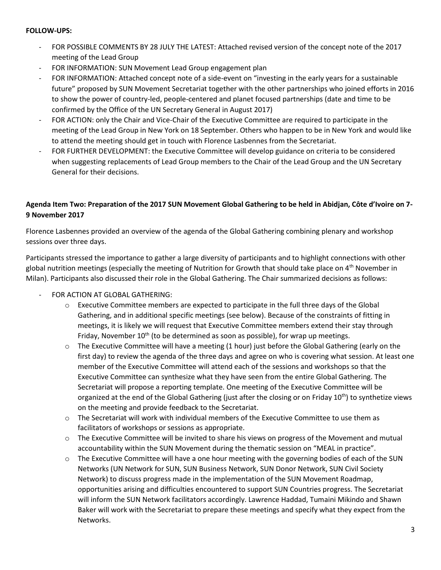#### **FOLLOW-UPS:**

- FOR POSSIBLE COMMENTS BY 28 JULY THE LATEST: Attached revised version of the concept note of the 2017 meeting of the Lead Group
- FOR INFORMATION: SUN Movement Lead Group engagement plan
- FOR INFORMATION: Attached concept note of a side-event on "investing in the early years for a sustainable future" proposed by SUN Movement Secretariat together with the other partnerships who joined efforts in 2016 to show the power of country-led, people-centered and planet focused partnerships (date and time to be confirmed by the Office of the UN Secretary General in August 2017)
- FOR ACTION: only the Chair and Vice-Chair of the Executive Committee are required to participate in the meeting of the Lead Group in New York on 18 September. Others who happen to be in New York and would like to attend the meeting should get in touch with Florence Lasbennes from the Secretariat.
- FOR FURTHER DEVELOPMENT: the Executive Committee will develop guidance on criteria to be considered when suggesting replacements of Lead Group members to the Chair of the Lead Group and the UN Secretary General for their decisions.

# **Agenda Item Two: Preparation of the 2017 SUN Movement Global Gathering to be held in Abidjan, Côte d'Ivoire on 7- 9 November 2017**

Florence Lasbennes provided an overview of the agenda of the Global Gathering combining plenary and workshop sessions over three days.

Participants stressed the importance to gather a large diversity of participants and to highlight connections with other global nutrition meetings (especially the meeting of Nutrition for Growth that should take place on 4<sup>th</sup> November in Milan). Participants also discussed their role in the Global Gathering. The Chair summarized decisions as follows:

- FOR ACTION AT GLOBAL GATHERING:
	- $\circ$  Executive Committee members are expected to participate in the full three days of the Global Gathering, and in additional specific meetings (see below). Because of the constraints of fitting in meetings, it is likely we will request that Executive Committee members extend their stay through Friday, November  $10^{th}$  (to be determined as soon as possible), for wrap up meetings.
	- $\circ$  The Executive Committee will have a meeting (1 hour) just before the Global Gathering (early on the first day) to review the agenda of the three days and agree on who is covering what session. At least one member of the Executive Committee will attend each of the sessions and workshops so that the Executive Committee can synthesize what they have seen from the entire Global Gathering. The Secretariat will propose a reporting template. One meeting of the Executive Committee will be organized at the end of the Global Gathering (just after the closing or on Friday  $10^{th}$ ) to synthetize views on the meeting and provide feedback to the Secretariat.
	- $\circ$  The Secretariat will work with individual members of the Executive Committee to use them as facilitators of workshops or sessions as appropriate.
	- $\circ$  The Executive Committee will be invited to share his views on progress of the Movement and mutual accountability within the SUN Movement during the thematic session on "MEAL in practice".
	- o The Executive Committee will have a one hour meeting with the governing bodies of each of the SUN Networks (UN Network for SUN, SUN Business Network, SUN Donor Network, SUN Civil Society Network) to discuss progress made in the implementation of the SUN Movement Roadmap, opportunities arising and difficulties encountered to support SUN Countries progress. The Secretariat will inform the SUN Network facilitators accordingly. Lawrence Haddad, Tumaini Mikindo and Shawn Baker will work with the Secretariat to prepare these meetings and specify what they expect from the Networks.